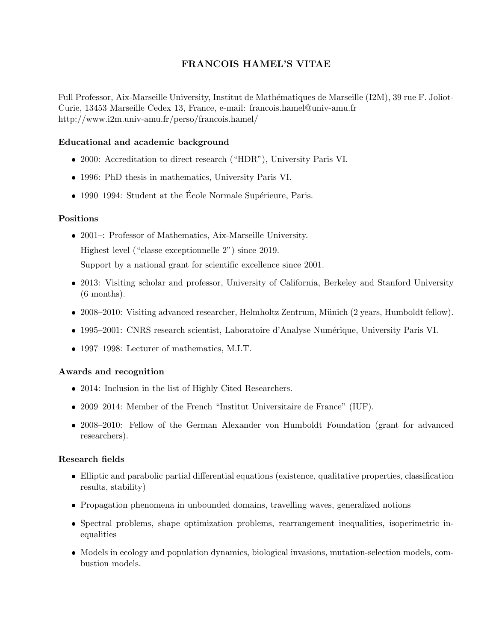# FRANCOIS HAMEL'S VITAE

Full Professor, Aix-Marseille University, Institut de Mathématiques de Marseille (I2M), 39 rue F. Joliot-Curie, 13453 Marseille Cedex 13, France, e-mail: francois.hamel@univ-amu.fr http://www.i2m.univ-amu.fr/perso/francois.hamel/

# Educational and academic background

- 2000: Accreditation to direct research ("HDR"), University Paris VI.
- 1996: PhD thesis in mathematics, University Paris VI.
- $\bullet$  1990–1994: Student at the École Normale Supérieure, Paris.

# Positions

2001–: Professor of Mathematics, Aix-Marseille University.

Highest level ("classe exceptionnelle 2") since 2019.

Support by a national grant for scientific excellence since 2001.

- 2013: Visiting scholar and professor, University of California, Berkeley and Stanford University (6 months).
- 2008–2010: Visiting advanced researcher, Helmholtz Zentrum, Münich (2 years, Humboldt fellow).
- 1995–2001: CNRS research scientist, Laboratoire d'Analyse Numérique, University Paris VI.
- 1997–1998: Lecturer of mathematics, M.I.T.

# Awards and recognition

- 2014: Inclusion in the list of Highly Cited Researchers.
- 2009–2014: Member of the French "Institut Universitaire de France" (IUF).
- 2008–2010: Fellow of the German Alexander von Humboldt Foundation (grant for advanced researchers).

# Research fields

- Elliptic and parabolic partial differential equations (existence, qualitative properties, classification results, stability)
- Propagation phenomena in unbounded domains, travelling waves, generalized notions
- Spectral problems, shape optimization problems, rearrangement inequalities, isoperimetric inequalities
- Models in ecology and population dynamics, biological invasions, mutation-selection models, combustion models.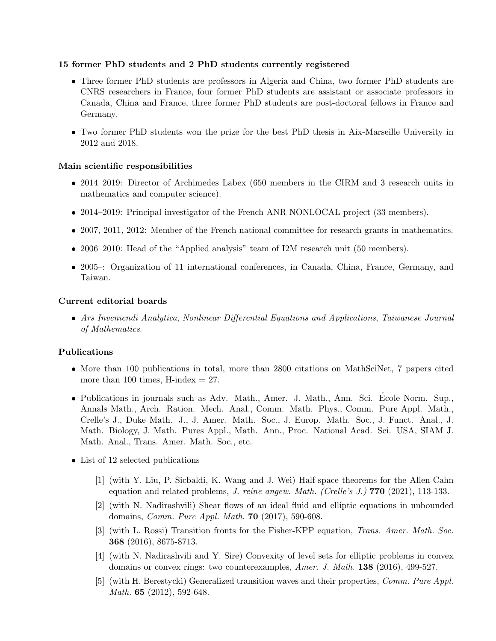## 15 former PhD students and 2 PhD students currently registered

- Three former PhD students are professors in Algeria and China, two former PhD students are CNRS researchers in France, four former PhD students are assistant or associate professors in Canada, China and France, three former PhD students are post-doctoral fellows in France and Germany.
- Two former PhD students won the prize for the best PhD thesis in Aix-Marseille University in 2012 and 2018.

## Main scientific responsibilities

- 2014–2019: Director of Archimedes Labex (650 members in the CIRM and 3 research units in mathematics and computer science).
- 2014–2019: Principal investigator of the French ANR NONLOCAL project (33 members).
- 2007, 2011, 2012: Member of the French national committee for research grants in mathematics.
- 2006–2010: Head of the "Applied analysis" team of I2M research unit (50 members).
- 2005–: Organization of 11 international conferences, in Canada, China, France, Germany, and Taiwan.

#### Current editorial boards

 Ars Inveniendi Analytica, Nonlinear Differential Equations and Applications, Taiwanese Journal of Mathematics.

#### Publications

- More than 100 publications in total, more than 2800 citations on MathSciNet, 7 papers cited more than 100 times, H-index  $= 27$ .
- Publications in journals such as Adv. Math., Amer. J. Math., Ann. Sci. Ecole Norm. Sup., ´ Annals Math., Arch. Ration. Mech. Anal., Comm. Math. Phys., Comm. Pure Appl. Math., Crelle's J., Duke Math. J., J. Amer. Math. Soc., J. Europ. Math. Soc., J. Funct. Anal., J. Math. Biology, J. Math. Pures Appl., Math. Ann., Proc. National Acad. Sci. USA, SIAM J. Math. Anal., Trans. Amer. Math. Soc., etc.
- List of 12 selected publications
	- [1] (with Y. Liu, P. Sicbaldi, K. Wang and J. Wei) Half-space theorems for the Allen-Cahn equation and related problems, *J. reine angew. Math. (Crelle's J.)* **770** (2021), 113-133.
	- [2] (with N. Nadirashvili) Shear flows of an ideal fluid and elliptic equations in unbounded domains, Comm. Pure Appl. Math. 70 (2017), 590-608.
	- [3] (with L. Rossi) Transition fronts for the Fisher-KPP equation, Trans. Amer. Math. Soc. 368 (2016), 8675-8713.
	- [4] (with N. Nadirashvili and Y. Sire) Convexity of level sets for elliptic problems in convex domains or convex rings: two counterexamples, Amer. J. Math. 138 (2016), 499-527.
	- [5] (with H. Berestycki) Generalized transition waves and their properties, Comm. Pure Appl. Math. **65** (2012), 592-648.